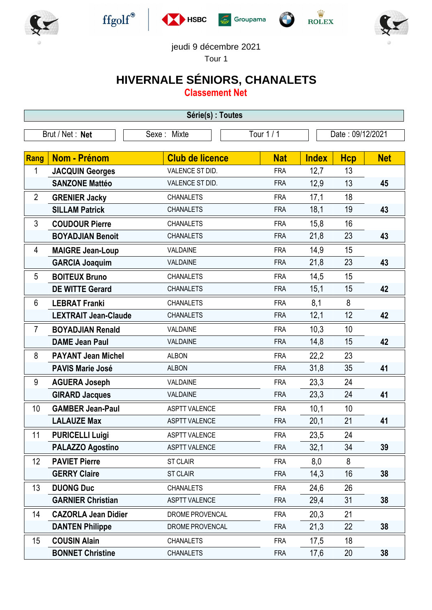











jeudi 9 décembre 2021

Tour 1

## **HIVERNALE SÉNIORS, CHANALETS**

**Classement Net**

| Série(s) : Toutes |                             |                        |            |                  |            |            |  |
|-------------------|-----------------------------|------------------------|------------|------------------|------------|------------|--|
|                   | Brut / Net: Net             | Sexe: Mixte            | Tour 1 / 1 | Date: 09/12/2021 |            |            |  |
|                   |                             |                        |            |                  |            |            |  |
| Rang              | <b>Nom - Prénom</b>         | <b>Club de licence</b> | <b>Nat</b> | <b>Index</b>     | <b>Hcp</b> | <b>Net</b> |  |
| 1                 | <b>JACQUIN Georges</b>      | VALENCE ST DID.        | <b>FRA</b> | 12,7             | 13         |            |  |
|                   | <b>SANZONE Mattéo</b>       | VALENCE ST DID.        | <b>FRA</b> | 12,9             | 13         | 45         |  |
| $\overline{2}$    | <b>GRENIER Jacky</b>        | <b>CHANALETS</b>       | <b>FRA</b> | 17,1             | 18         |            |  |
|                   | <b>SILLAM Patrick</b>       | <b>CHANALETS</b>       | <b>FRA</b> | 18,1             | 19         | 43         |  |
| 3                 | <b>COUDOUR Pierre</b>       | <b>CHANALETS</b>       | <b>FRA</b> | 15,8             | 16         |            |  |
|                   | <b>BOYADJIAN Benoit</b>     | <b>CHANALETS</b>       | <b>FRA</b> | 21,8             | 23         | 43         |  |
| 4                 | <b>MAIGRE Jean-Loup</b>     | VALDAINE               | <b>FRA</b> | 14,9             | 15         |            |  |
|                   | <b>GARCIA Joaquim</b>       | VALDAINE               | <b>FRA</b> | 21,8             | 23         | 43         |  |
| 5                 | <b>BOITEUX Bruno</b>        | <b>CHANALETS</b>       | <b>FRA</b> | 14,5             | 15         |            |  |
|                   | <b>DE WITTE Gerard</b>      | <b>CHANALETS</b>       | <b>FRA</b> | 15,1             | 15         | 42         |  |
| 6                 | <b>LEBRAT Franki</b>        | <b>CHANALETS</b>       | <b>FRA</b> | 8,1              | 8          |            |  |
|                   | <b>LEXTRAIT Jean-Claude</b> | <b>CHANALETS</b>       | <b>FRA</b> | 12,1             | 12         | 42         |  |
| $\overline{7}$    | <b>BOYADJIAN Renald</b>     | VALDAINE               | <b>FRA</b> | 10,3             | 10         |            |  |
|                   | <b>DAME Jean Paul</b>       | VALDAINE               | <b>FRA</b> | 14,8             | 15         | 42         |  |
| 8                 | <b>PAYANT Jean Michel</b>   | <b>ALBON</b>           | <b>FRA</b> | 22,2             | 23         |            |  |
|                   | <b>PAVIS Marie José</b>     | <b>ALBON</b>           | <b>FRA</b> | 31,8             | 35         | 41         |  |
| 9                 | <b>AGUERA Joseph</b>        | VALDAINE               | <b>FRA</b> | 23,3             | 24         |            |  |
|                   | <b>GIRARD Jacques</b>       | VALDAINE               | <b>FRA</b> | 23,3             | 24         | 41         |  |
| 10                | <b>GAMBER Jean-Paul</b>     | <b>ASPTT VALENCE</b>   | <b>FRA</b> | 10,1             | 10         |            |  |
|                   | <b>LALAUZE Max</b>          | <b>ASPTT VALENCE</b>   | <b>FRA</b> | 20,1             | 21         | 41         |  |
| 11                | <b>PURICELLI Luigi</b>      | <b>ASPTT VALENCE</b>   | <b>FRA</b> | 23,5             | 24         |            |  |
|                   | <b>PALAZZO Agostino</b>     | <b>ASPTT VALENCE</b>   | <b>FRA</b> | 32,1             | 34         | 39         |  |
| 12                | <b>PAVIET Pierre</b>        | <b>ST CLAIR</b>        | <b>FRA</b> | 8,0              | 8          |            |  |
|                   | <b>GERRY Claire</b>         | <b>ST CLAIR</b>        | <b>FRA</b> | 14,3             | 16         | 38         |  |
| 13                | <b>DUONG Duc</b>            | <b>CHANALETS</b>       | <b>FRA</b> | 24,6             | 26         |            |  |
|                   | <b>GARNIER Christian</b>    | <b>ASPTT VALENCE</b>   | <b>FRA</b> | 29,4             | 31         | 38         |  |
| 14                | <b>CAZORLA Jean Didier</b>  | DROME PROVENCAL        | <b>FRA</b> | 20,3             | 21         |            |  |
|                   | <b>DANTEN Philippe</b>      | DROME PROVENCAL        | <b>FRA</b> | 21,3             | 22         | 38         |  |
| 15                | <b>COUSIN Alain</b>         | <b>CHANALETS</b>       | <b>FRA</b> | 17,5             | 18         |            |  |
|                   | <b>BONNET Christine</b>     | <b>CHANALETS</b>       | <b>FRA</b> | 17,6             | 20         | 38         |  |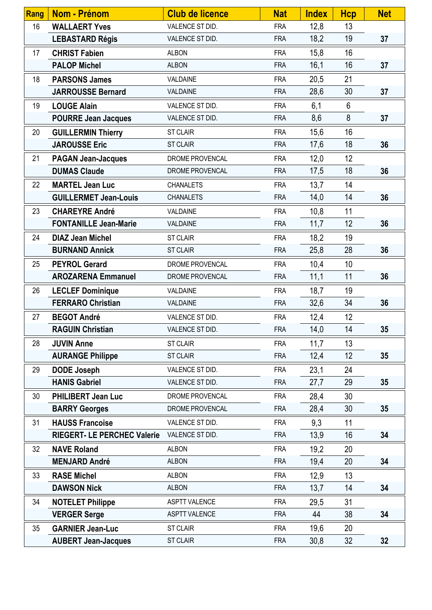| <b>Rang</b> | <b>Nom - Prénom</b>                | <b>Club de licence</b> | <b>Nat</b> | <b>Index</b> | <b>Hcp</b>     | <b>Net</b>      |
|-------------|------------------------------------|------------------------|------------|--------------|----------------|-----------------|
| 16          | <b>WALLAERT Yves</b>               | VALENCE ST DID.        | <b>FRA</b> | 12,8         | 13             |                 |
|             | <b>LEBASTARD Régis</b>             | VALENCE ST DID.        | <b>FRA</b> | 18,2         | 19             | 37              |
| 17          | <b>CHRIST Fabien</b>               | <b>ALBON</b>           | <b>FRA</b> | 15,8         | 16             |                 |
|             | <b>PALOP Michel</b>                | <b>ALBON</b>           | <b>FRA</b> | 16,1         | 16             | 37              |
| 18          | <b>PARSONS James</b>               | VALDAINE               | <b>FRA</b> | 20,5         | 21             |                 |
|             | <b>JARROUSSE Bernard</b>           | VALDAINE               | <b>FRA</b> | 28,6         | 30             | 37              |
| 19          | <b>LOUGE Alain</b>                 | VALENCE ST DID.        | <b>FRA</b> | 6,1          | $6\phantom{1}$ |                 |
|             | <b>POURRE Jean Jacques</b>         | VALENCE ST DID.        | <b>FRA</b> | 8,6          | 8              | 37              |
| 20          | <b>GUILLERMIN Thierry</b>          | <b>ST CLAIR</b>        | <b>FRA</b> | 15,6         | 16             |                 |
|             | <b>JAROUSSE Eric</b>               | ST CLAIR               | <b>FRA</b> | 17,6         | 18             | 36              |
| 21          | <b>PAGAN Jean-Jacques</b>          | DROME PROVENCAL        | <b>FRA</b> | 12,0         | 12             |                 |
|             | <b>DUMAS Claude</b>                | DROME PROVENCAL        | <b>FRA</b> | 17,5         | 18             | 36              |
| 22          | <b>MARTEL Jean Luc</b>             | <b>CHANALETS</b>       | <b>FRA</b> | 13,7         | 14             |                 |
|             | <b>GUILLERMET Jean-Louis</b>       | <b>CHANALETS</b>       | <b>FRA</b> | 14,0         | 14             | 36              |
| 23          | <b>CHAREYRE André</b>              | VALDAINE               | <b>FRA</b> | 10,8         | 11             |                 |
|             | <b>FONTANILLE Jean-Marie</b>       | VALDAINE               | <b>FRA</b> | 11,7         | 12             | 36              |
| 24          | <b>DIAZ Jean Michel</b>            | <b>ST CLAIR</b>        | <b>FRA</b> | 18,2         | 19             |                 |
|             | <b>BURNAND Annick</b>              | <b>ST CLAIR</b>        | <b>FRA</b> | 25,8         | 28             | 36              |
| 25          | <b>PEYROL Gerard</b>               | DROME PROVENCAL        | <b>FRA</b> | 10,4         | 10             |                 |
|             | <b>AROZARENA Emmanuel</b>          | DROME PROVENCAL        | <b>FRA</b> | 11,1         | 11             | 36              |
| 26          | <b>LECLEF Dominique</b>            | VALDAINE               | <b>FRA</b> | 18,7         | 19             |                 |
|             | <b>FERRARO Christian</b>           | VALDAINE               | <b>FRA</b> | 32,6         | 34             | 36              |
| 27          | <b>BEGOT André</b>                 | VALENCE ST DID.        | <b>FRA</b> | 12,4         | 12             |                 |
|             | <b>RAGUIN Christian</b>            | VALENCE ST DID.        | <b>FRA</b> | 14,0         | 14             | 35              |
| 28          | <b>JUVIN Anne</b>                  | <b>ST CLAIR</b>        | <b>FRA</b> | 11,7         | 13             |                 |
|             | <b>AURANGE Philippe</b>            | <b>ST CLAIR</b>        | <b>FRA</b> | 12,4         | 12             | 35              |
| 29          | <b>DODE Joseph</b>                 | VALENCE ST DID.        | <b>FRA</b> | 23,1         | 24             |                 |
|             | <b>HANIS Gabriel</b>               | VALENCE ST DID.        | <b>FRA</b> | 27,7         | 29             | 35              |
| 30          | <b>PHILIBERT Jean Luc</b>          | DROME PROVENCAL        | <b>FRA</b> | 28,4         | 30             |                 |
|             | <b>BARRY Georges</b>               | DROME PROVENCAL        | <b>FRA</b> | 28,4         | 30             | 35              |
| 31          | <b>HAUSS Francoise</b>             | VALENCE ST DID.        | <b>FRA</b> | 9,3          | 11             |                 |
|             | <b>RIEGERT- LE PERCHEC Valerie</b> | VALENCE ST DID.        | <b>FRA</b> | 13,9         | 16             | 34              |
| 32          | <b>NAVE Roland</b>                 | <b>ALBON</b>           | <b>FRA</b> | 19,2         | 20             |                 |
|             | <b>MENJARD André</b>               | <b>ALBON</b>           | <b>FRA</b> | 19,4         | 20             | 34              |
| 33          | <b>RASE Michel</b>                 | <b>ALBON</b>           | <b>FRA</b> | 12,9         | 13             |                 |
|             | <b>DAWSON Nick</b>                 | <b>ALBON</b>           | <b>FRA</b> | 13,7         | 14             | 34              |
| 34          | <b>NOTELET Philippe</b>            | <b>ASPTT VALENCE</b>   | <b>FRA</b> | 29,5         | 31             |                 |
|             | <b>VERGER Serge</b>                | ASPTT VALENCE          | <b>FRA</b> | 44           | 38             | 34              |
| 35          | <b>GARNIER Jean-Luc</b>            | <b>ST CLAIR</b>        | <b>FRA</b> | 19,6         | 20             |                 |
|             | <b>AUBERT Jean-Jacques</b>         | ST CLAIR               | <b>FRA</b> | 30,8         | 32             | 32 <sub>2</sub> |